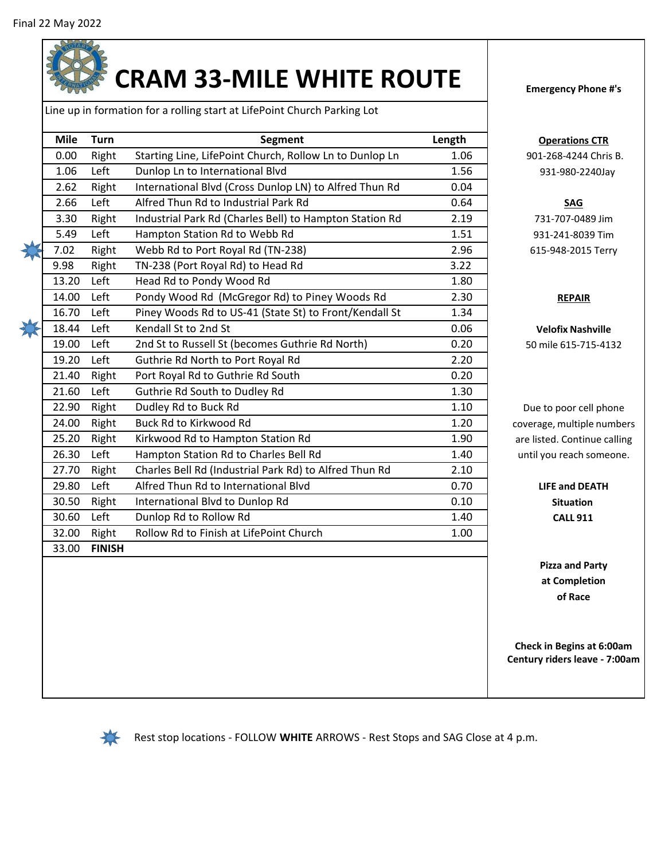Y



## **CRAM 33-MILE WHITE ROUTE Emergency Phone #'s**

Line up in formation for a rolling start at LifePoint Church Parking Lot

| <b>Mile</b> | <b>Turn</b>   | <b>Segment</b>                                          | Length |
|-------------|---------------|---------------------------------------------------------|--------|
| 0.00        | Right         | Starting Line, LifePoint Church, Rollow Ln to Dunlop Ln | 1.06   |
| 1.06        | Left          | Dunlop Ln to International Blvd                         | 1.56   |
| 2.62        | Right         | International Blvd (Cross Dunlop LN) to Alfred Thun Rd  | 0.04   |
| 2.66        | Left          | Alfred Thun Rd to Industrial Park Rd                    | 0.64   |
| 3.30        | Right         | Industrial Park Rd (Charles Bell) to Hampton Station Rd | 2.19   |
| 5.49        | Left          | Hampton Station Rd to Webb Rd                           | 1.51   |
| 7.02        | Right         | Webb Rd to Port Royal Rd (TN-238)                       | 2.96   |
| 9.98        | Right         | TN-238 (Port Royal Rd) to Head Rd                       | 3.22   |
| 13.20       | Left          | Head Rd to Pondy Wood Rd                                | 1.80   |
| 14.00       | Left          | Pondy Wood Rd (McGregor Rd) to Piney Woods Rd           | 2.30   |
| 16.70       | Left          | Piney Woods Rd to US-41 (State St) to Front/Kendall St  | 1.34   |
| 18.44       | Left          | Kendall St to 2nd St                                    | 0.06   |
| 19.00       | Left          | 2nd St to Russell St (becomes Guthrie Rd North)         | 0.20   |
| 19.20       | Left          | Guthrie Rd North to Port Royal Rd                       | 2.20   |
| 21.40       | Right         | Port Royal Rd to Guthrie Rd South                       | 0.20   |
| 21.60       | Left          | Guthrie Rd South to Dudley Rd                           | 1.30   |
| 22.90       | Right         | Dudley Rd to Buck Rd                                    | 1.10   |
| 24.00       | Right         | Buck Rd to Kirkwood Rd                                  | 1.20   |
| 25.20       | Right         | Kirkwood Rd to Hampton Station Rd                       | 1.90   |
| 26.30       | Left          | Hampton Station Rd to Charles Bell Rd                   | 1.40   |
| 27.70       | Right         | Charles Bell Rd (Industrial Park Rd) to Alfred Thun Rd  | 2.10   |
| 29.80       | Left          | Alfred Thun Rd to International Blvd                    | 0.70   |
| 30.50       | Right         | International Blvd to Dunlop Rd                         | 0.10   |
| 30.60       | Left          | Dunlop Rd to Rollow Rd                                  | 1.40   |
| 32.00       | Right         | Rollow Rd to Finish at LifePoint Church                 | 1.00   |
| 33.00       | <b>FINISH</b> |                                                         |        |

**Operations CTR** 901-268-4244 Chris B. 931-980-2240Jay

## **SAG** 731-707-0489 Jim 931-241-8039 Tim 615-948-2015 Terry

## **REPAIR**

**Velofix Nashville** 50 mile 615-715-4132

Due to poor cell phone coverage, multiple numbers are listed. Continue calling until you reach someone.

> **LIFE and DEATH Situation CALL 911**

**Pizza and Party at Completion of Race**

**Check in Begins at 6:00am Century riders leave - 7:00am**



Rest stop locations - FOLLOW **WHITE** ARROWS - Rest Stops and SAG Close at 4 p.m.